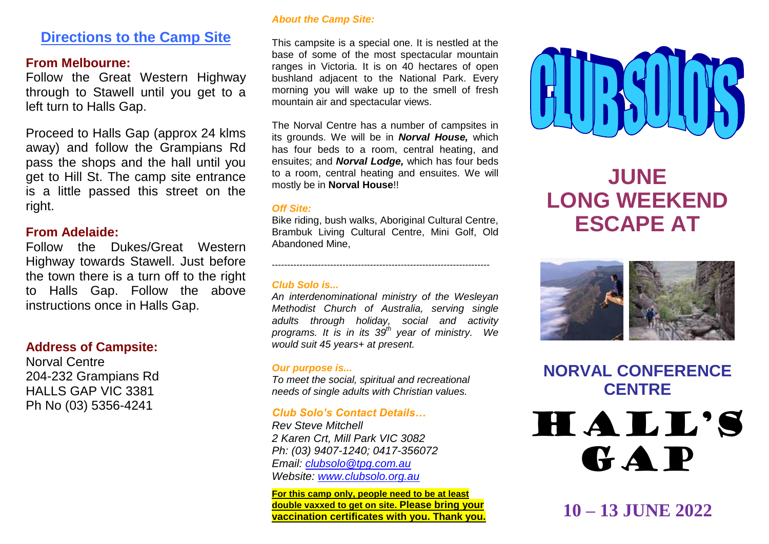## **Directions to the Camp Site**

## **From Melbourne:**

Follow the Great Western Highway through to Stawell until you get to a left turn to Halls Gap.

Proceed to Halls Gap (approx 24 klms away) and follow the Grampians Rd pass the shops and the hall until you get to Hill St. The camp site entrance is a little passed this street on the right.

## **From Adelaide:**

Follow the Dukes/Great Western Highway towards Stawell. Just before the town there is a turn off to the right to Halls Gap. Follow the above instructions once in Halls Gap.

## **Address of Campsite:**

Norval Centre 204-232 Grampians Rd HALLS GAP VIC 3381 Ph No (03) 5356-4241

## *About the Camp Site:*

This campsite is a special one. It is nestled at the base of some of the most spectacular mountain ranges in Victoria. It is on 40 hectares of open bushland adjacent to the National Park. Every morning you will wake up to the smell of fresh mountain air and spectacular views.

The Norval Centre has a number of campsites in its grounds. We will be in *Norval House,* which has four beds to a room, central heating, and ensuites; and *Norval Lodge,* which has four beds to a room, central heating and ensuites. We will mostly be in **Norval House**!!

## *Off Site:*

Bike riding, bush walks, Aboriginal Cultural Centre, Brambuk Living Cultural Centre, Mini Golf, Old Abandoned Mine,

-----------------------------------------------------------------------

## *Club Solo is...*

*An interdenominational ministry of the Wesleyan Methodist Church of Australia, serving single adults through holiday, social and activity programs. It is in its 39 th year of ministry. We would suit 45 years+ at present.*

## *Our purpose is...*

*To meet the social, spiritual and recreational needs of single adults with Christian values.*

## *Club Solo's Contact Details…*

*Rev Steve Mitchell 2 Karen Crt, Mill Park VIC 3082 Ph: (03) 9407-1240; 0417-356072 Email: [clubsolo@tpg.com.au](mailto:clubsolo@tpg.com.au) Website: [www.clubsolo.org.au](http://www.clubsolo.org.au/)*

**For this camp only, people need to be at least double vaxxed to get on site. Please bring your vaccination certificates with you. Thank you.**



# **JUNE LONG WEEKEND ESCAPE AT**



**NORVAL CONFERENCE CENTRE**

HALL'S GAP

**10 – 13 JUNE 2022**